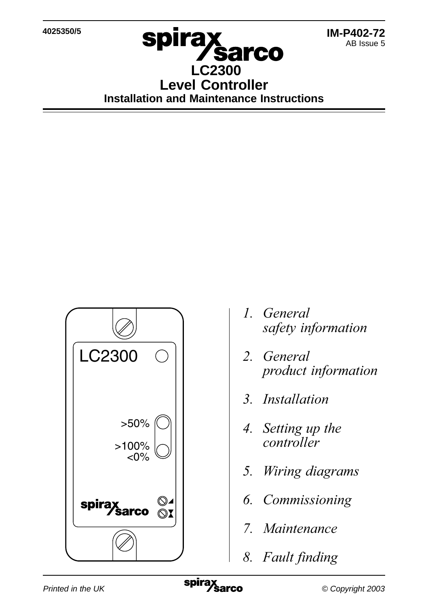**4025350/5**

# **spirax Sarco LC2300 Level Controller Installation and Maintenance Instructions**



- 1. General safety information
- 2. General product information
- 3. Installation
- 4. Setting up the controller
- 5. Wiring diagrams
- 6. Commissioning
- 7. Maintenance
- 8. Fault finding

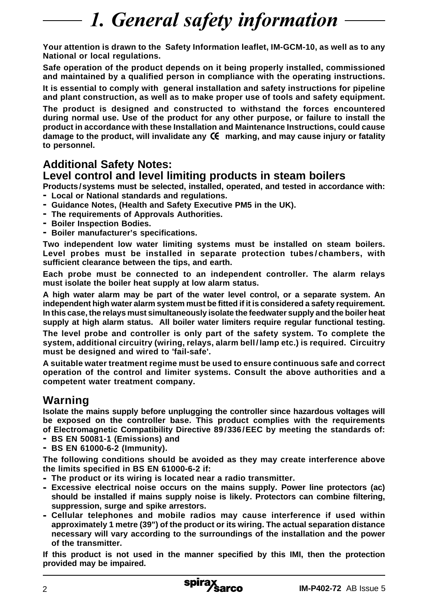# 1. General safety information

**Your attention is drawn to the Safety Information leaflet, IM-GCM-10, as well as to any National or local regulations.**

**Safe operation of the product depends on it being properly installed, commissioned and maintained by a qualified person in compliance with the operating instructions.**

**It is essential to comply with general installation and safety instructions for pipeline and plant construction, as well as to make proper use of tools and safety equipment.**

**The product is designed and constructed to withstand the forces encountered during normal use. Use of the product for any other purpose, or failure to install the product in accordance with these Installation and Maintenance Instructions, could cause damage to the product, will invalidate any marking, and may cause injury or fatality to personnel.**

### **Additional Safety Notes:**

### **Level control and level limiting products in steam boilers**

**Products /systems must be selected, installed, operated, and tested in accordance with: - Local or National standards and regulations.**

- **- Guidance Notes, (Health and Safety Executive PM5 in the UK).**
- **- The requirements of Approvals Authorities.**
- **- Boiler Inspection Bodies.**
- **- Boiler manufacturer's specifications.**

**Two independent low water limiting systems must be installed on steam boilers. Level probes must be installed in separate protection tubes/chambers, with sufficient clearance between the tips, and earth.**

**Each probe must be connected to an independent controller. The alarm relays must isolate the boiler heat supply at low alarm status.**

**A high water alarm may be part of the water level control, or a separate system. An independent high water alarm system must be fitted if it is considered a safety requirement. In this case, the relays must simultaneously isolate the feedwater supply and the boiler heat supply at high alarm status. All boiler water limiters require regular functional testing.**

**The level probe and controller is only part of the safety system. To complete the system, additional circuitry (wiring, relays, alarm bell/lamp etc.) is required. Circuitry must be designed and wired to 'fail-safe'.**

**A suitable water treatment regime must be used to ensure continuous safe and correct operation of the control and limiter systems. Consult the above authorities and a competent water treatment company.**

## **Warning**

**Isolate the mains supply before unplugging the controller since hazardous voltages will be exposed on the controller base. This product complies with the requirements of Electromagnetic Compatibility Directive 89/336/EEC by meeting the standards of:**

- **- BS EN 50081-1 (Emissions) and**
- **- BS EN 61000-6-2 (Immunity).**

**The following conditions should be avoided as they may create interference above the limits specified in BS EN 61000-6-2 if:**

- **- The product or its wiring is located near a radio transmitter.**
- **- Excessive electrical noise occurs on the mains supply. Power line protectors (ac) should be installed if mains supply noise is likely. Protectors can combine filtering, suppression, surge and spike arrestors.**
- **- Cellular telephones and mobile radios may cause interference if used within approximately 1 metre (39") of the product or its wiring. The actual separation distance necessary will vary according to the surroundings of the installation and the power of the transmitter.**

**If this product is not used in the manner specified by this IMI, then the protection provided may be impaired.**

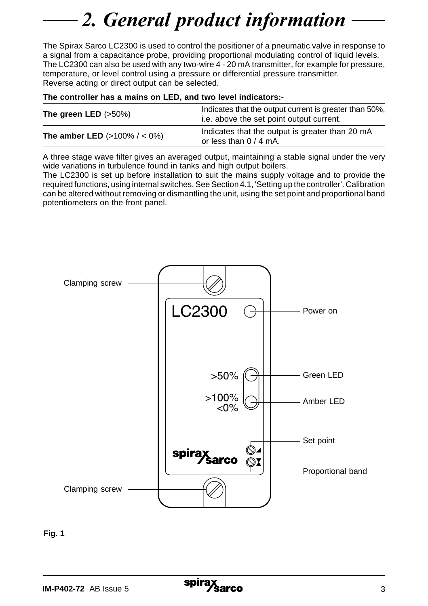# 2. General product information

The Spirax Sarco LC2300 is used to control the positioner of a pneumatic valve in response to a signal from a capacitance probe, providing proportional modulating control of liquid levels. The LC2300 can also be used with any two-wire 4 - 20 mA transmitter, for example for pressure, temperature, or level control using a pressure or differential pressure transmitter. Reverse acting or direct output can be selected.

#### **The controller has a mains on LED, and two level indicators:-**

| The green LED $(>50\%)$                 | Indicates that the output current is greater than 50%.<br>i.e. above the set point output current. |
|-----------------------------------------|----------------------------------------------------------------------------------------------------|
| <b>The amber LED</b> $(>100\% / < 0\%)$ | Indicates that the output is greater than 20 mA<br>or less than $0/4$ mA.                          |

A three stage wave filter gives an averaged output, maintaining a stable signal under the very wide variations in turbulence found in tanks and high output boilers.

The LC2300 is set up before installation to suit the mains supply voltage and to provide the required functions, using internal switches. See Section 4.1, 'Setting up the controller'. Calibration can be altered without removing or dismantling the unit, using the set point and proportional band potentiometers on the front panel.



**Fig. 1**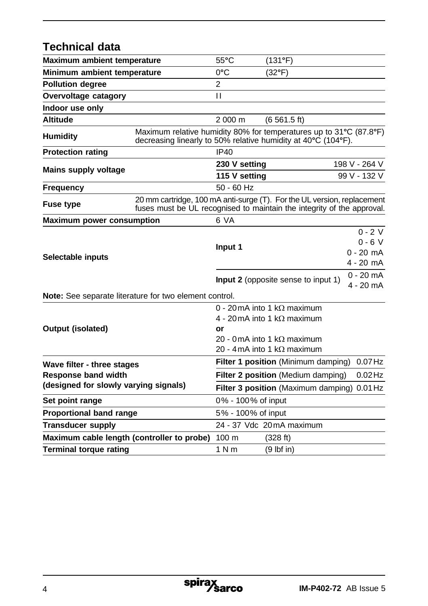### **Technical data Maximum ambient temperature** 55**°**C (131**°**F) **Minimum ambient temperature** 0**°**C (32**°**F) **Pollution degree** 2 **Overvoltage catagory II Indoor use only Altitude** 2 000 m (6 561.5 ft) **Humidity** Maximum relative humidity 80% for temperatures up to 31**°**C (87.8**°**F) decreasing linearly to 50% relative humidity at 40**°**C (104**°**F). **Protection rating IP40 Mains supply voltage 230 V setting 198 V - 264 V - 264 V - 264 V - 264 V - 264 V - 264 V - 432 V - 432 V - 432 V - 432 V 115 V setting Frequency** 50 - 60 Hz **Fuse type** 20 mm cartridge, 100 mA anti-surge (T). For the UL version, replacement fuses must be UL recognised to maintain the integrity of the approval. **Maximum power consumption** 6 VA  $0 - 2V$ **Input 1** 0 - 6 V<br>0 - 20 mA **Selectable inputs** 4 - 20 mA **Input 2** (opposite sense to input 1) 0 - 20 mA 4 - 20 mA **Note:** See separate literature for two element control.  $0 - 20$  mA into 1 kO maximum 4 - 20 mA into 1 kQ maximum **Output (isolated) or**  $20 - 0$  mA into 1 kQ maximum 20 - 4 mA into 1 k $\Omega$  maximum **Wave filter - three stages Filter 1 position** (Minimum damping) 0.07Hz **Response band width Filter 2 position** (Medium damping) 0.02Hz **(designed for slowly varying signals) Filter 3 position** (Maximum damping) 0.01Hz **Set point range** 0% - 100% of input **Proportional band range** 5% - 100% of input **Transducer supply** 24 - 37 Vdc 20mA maximum **Maximum cable length (controller to probe)** 100 m (328 ft)

**Terminal torque rating** 1 N m (9 lbf in)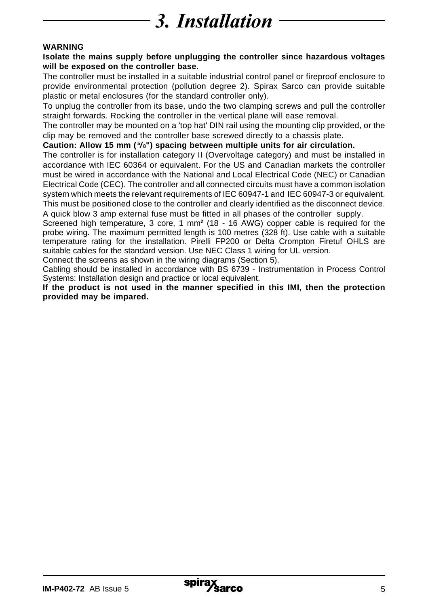# 3. Installation

#### **WARNING**

#### **Isolate the mains supply before unplugging the controller since hazardous voltages will be exposed on the controller base.**

The controller must be installed in a suitable industrial control panel or fireproof enclosure to provide environmental protection (pollution degree 2). Spirax Sarco can provide suitable plastic or metal enclosures (for the standard controller only).

To unplug the controller from its base, undo the two clamping screws and pull the controller straight forwards. Rocking the controller in the vertical plane will ease removal.

The controller may be mounted on a 'top hat' DIN rail using the mounting clip provided, or the clip may be removed and the controller base screwed directly to a chassis plate.

#### **Caution: Allow 15 mm ( <sup>5</sup> / 8") spacing between multiple units for air circulation.**

The controller is for installation category II (Overvoltage category) and must be installed in accordance with IEC 60364 or equivalent. For the US and Canadian markets the controller must be wired in accordance with the National and Local Electrical Code (NEC) or Canadian Electrical Code (CEC). The controller and all connected circuits must have a common isolation system which meets the relevant requirements of IEC 60947-1 and IEC 60947-3 or equivalent. This must be positioned close to the controller and clearly identified as the disconnect device.

A quick blow 3 amp external fuse must be fitted in all phases of the controller supply.

Screened high temperature, 3 core, 1 mm**<sup>2</sup>** (18 - 16 AWG) copper cable is required for the probe wiring. The maximum permitted length is 100 metres (328 ft). Use cable with a suitable temperature rating for the installation. Pirelli FP200 or Delta Crompton Firetuf OHLS are suitable cables for the standard version. Use NEC Class 1 wiring for UL version.

Connect the screens as shown in the wiring diagrams (Section 5).

Cabling should be installed in accordance with BS 6739 - Instrumentation in Process Control Systems: Installation design and practice or local equivalent.

**If the product is not used in the manner specified in this IMI, then the protection provided may be impared.**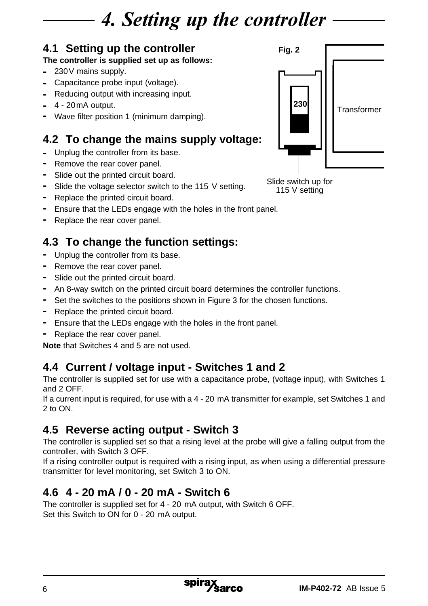# 4. Setting up the controller

## **4.1 Setting up the controller**

### **The controller is supplied set up as follows:**

- **-** 230V mains supply.
- **-** Capacitance probe input (voltage).
- **-** Reducing output with increasing input.
- **-** 4 20mA output.
- **-** Wave filter position 1 (minimum damping).

# **4.2 To change the mains supply voltage:**

- **-** Unplug the controller from its base.
- **-** Remove the rear cover panel.
- **-** Slide out the printed circuit board.
- **-** Slide the voltage selector switch to the 115 V setting.
- **-** Replace the printed circuit board.
- **-** Ensure that the LEDs engage with the holes in the front panel.
- **-** Replace the rear cover panel.

# **4.3 To change the function settings:**

- **-** Unplug the controller from its base.
- **-** Remove the rear cover panel.
- **-** Slide out the printed circuit board.
- **-** An 8-way switch on the printed circuit board determines the controller functions.
- **-** Set the switches to the positions shown in Figure 3 for the chosen functions.
- **-** Replace the printed circuit board.
- **-** Ensure that the LEDs engage with the holes in the front panel.
- **-** Replace the rear cover panel.

**Note** that Switches 4 and 5 are not used.

## **4.4 Current / voltage input - Switches 1 and 2**

The controller is supplied set for use with a capacitance probe, (voltage input), with Switches 1 and 2 OFF.

If a current input is required, for use with a 4 - 20 mA transmitter for example, set Switches 1 and 2 to ON.

## **4.5 Reverse acting output - Switch 3**

The controller is supplied set so that a rising level at the probe will give a falling output from the controller, with Switch 3 OFF.

If a rising controller output is required with a rising input, as when using a differential pressure transmitter for level monitoring, set Switch 3 to ON.

## **4.6 4 - 20 mA / 0 - 20 mA - Switch 6**

The controller is supplied set for 4 - 20 mA output, with Switch 6 OFF. Set this Switch to ON for 0 - 20 mA output.



Slide switch up for 115 V setting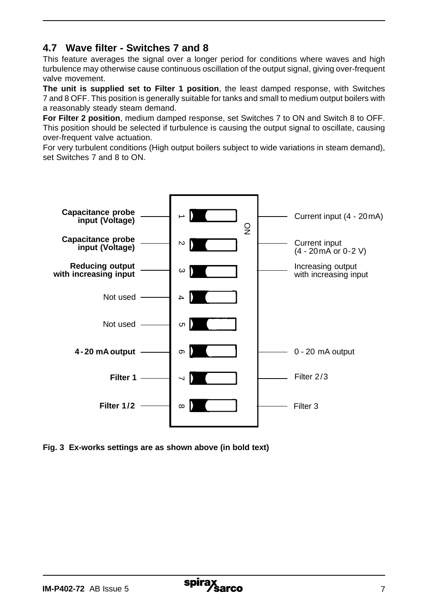### **4.7 Wave filter - Switches 7 and 8**

This feature averages the signal over a longer period for conditions where waves and high turbulence may otherwise cause continuous oscillation of the output signal, giving over-frequent valve movement.

**The unit is supplied set to Filter 1 position**, the least damped response, with Switches 7 and 8 OFF. This position is generally suitable for tanks and small to medium output boilers with a reasonably steady steam demand.

**For Filter 2 position**, medium damped response, set Switches 7 to ON and Switch 8 to OFF. This position should be selected if turbulence is causing the output signal to oscillate, causing over-frequent valve actuation.

For very turbulent conditions (High output boilers subject to wide variations in steam demand), set Switches 7 and 8 to ON.



**Fig. 3 Ex-works settings are as shown above (in bold text)**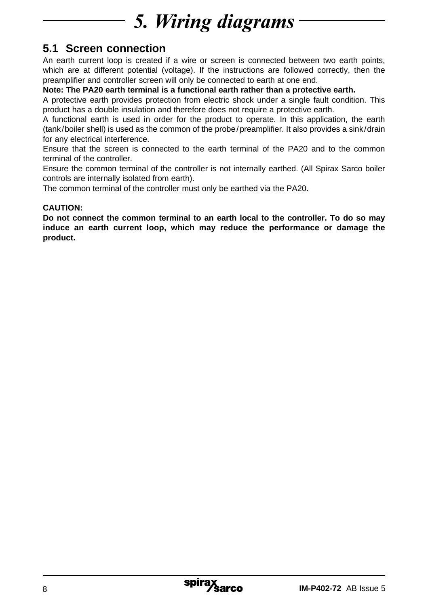# 5. Wiring diagrams

## **5.1 Screen connection**

An earth current loop is created if a wire or screen is connected between two earth points, which are at different potential (voltage). If the instructions are followed correctly, then the preamplifier and controller screen will only be connected to earth at one end.

**Note: The PA20 earth terminal is a functional earth rather than a protective earth.**

A protective earth provides protection from electric shock under a single fault condition. This product has a double insulation and therefore does not require a protective earth.

A functional earth is used in order for the product to operate. In this application, the earth (tank/boiler shell) is used as the common of the probe/preamplifier. It also provides a sink/drain for any electrical interference.

Ensure that the screen is connected to the earth terminal of the PA20 and to the common terminal of the controller.

Ensure the common terminal of the controller is not internally earthed. (All Spirax Sarco boiler controls are internally isolated from earth).

The common terminal of the controller must only be earthed via the PA20.

### **CAUTION:**

**Do not connect the common terminal to an earth local to the controller. To do so may induce an earth current loop, which may reduce the performance or damage the product.**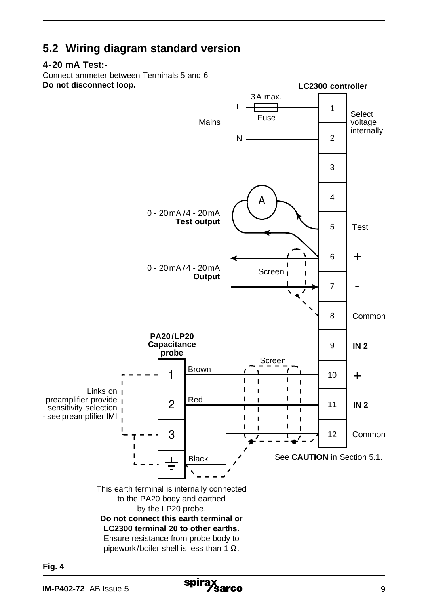## **5.2 Wiring diagram standard version**

#### **4-20 mA Test:-**

Connect ammeter between Terminals 5 and 6. **Do not disconnect loop.**



**Fig. 4**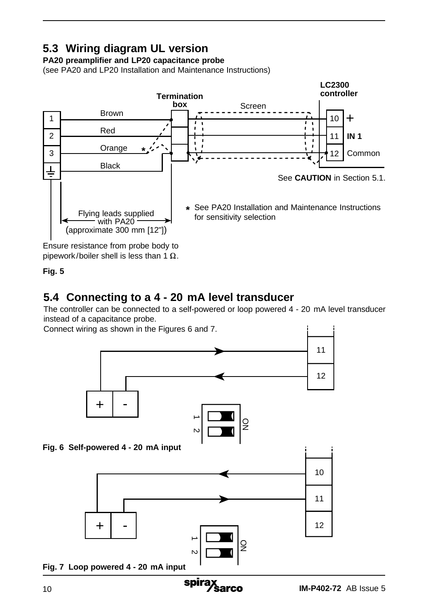# **5.3 Wiring diagram UL version**

## **PA20 preamplifier and LP20 capacitance probe**

(see PA20 and LP20 Installation and Maintenance Instructions)



Ensure resistance from probe body to pipework/boiler shell is less than 1  $\Omega$ .

### **Fig. 5**

## **5.4 Connecting to a 4 - 20 mA level transducer**

The controller can be connected to a self-powered or loop powered 4 - 20 mA level transducer instead of a capacitance probe.

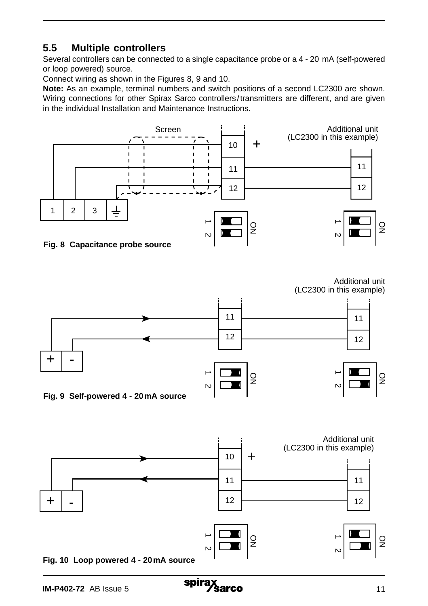## **5.5 Multiple controllers**

Several controllers can be connected to a single capacitance probe or a 4 - 20 mA (self-powered or loop powered) source.

Connect wiring as shown in the Figures 8, 9 and 10.

**Note:** As an example, terminal numbers and switch positions of a second LC2300 are shown. Wiring connections for other Spirax Sarco controllers/transmitters are different, and are given in the individual Installation and Maintenance Instructions.





Additional unit (LC2300 in this example)